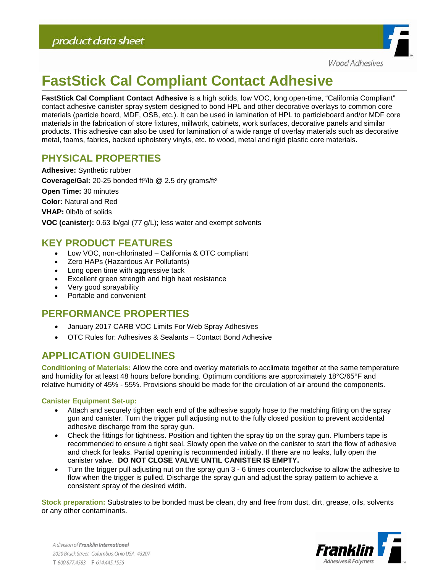

# **FastStick Cal Compliant Contact Adhesive**

**FastStick Cal Compliant Contact Adhesive** is a high solids, low VOC, long open-time, "California Compliant" contact adhesive canister spray system designed to bond HPL and other decorative overlays to common core materials (particle board, MDF, OSB, etc.). It can be used in lamination of HPL to particleboard and/or MDF core materials in the fabrication of store fixtures, millwork, cabinets, work surfaces, decorative panels and similar products. This adhesive can also be used for lamination of a wide range of overlay materials such as decorative metal, foams, fabrics, backed upholstery vinyls, etc. to wood, metal and rigid plastic core materials.

## **PHYSICAL PROPERTIES**

**Adhesive:** Synthetic rubber **Coverage/Gal:** 20-25 bonded ft²/lb @ 2.5 dry grams/ft² **Open Time:** 30 minutes **Color:** Natural and Red **VHAP:** 0lb/lb of solids **VOC (canister):** 0.63 lb/gal (77 g/L); less water and exempt solvents

### **KEY PRODUCT FEATURES**

- Low VOC, non-chlorinated California & OTC compliant
- Zero HAPs (Hazardous Air Pollutants)
- Long open time with aggressive tack
- Excellent green strength and high heat resistance
- Very good sprayability
- Portable and convenient

#### **PERFORMANCE PROPERTIES**

- January 2017 CARB VOC Limits For Web Spray Adhesives
- OTC Rules for: Adhesives & Sealants Contact Bond Adhesive

## **APPLICATION GUIDELINES**

**Conditioning of Materials:** Allow the core and overlay materials to acclimate together at the same temperature and humidity for at least 48 hours before bonding. Optimum conditions are approximately 18°C/65°F and relative humidity of 45% - 55%. Provisions should be made for the circulation of air around the components.

#### **Canister Equipment Set-up:**

- Attach and securely tighten each end of the adhesive supply hose to the matching fitting on the spray gun and canister. Turn the trigger pull adjusting nut to the fully closed position to prevent accidental adhesive discharge from the spray gun.
- Check the fittings for tightness. Position and tighten the spray tip on the spray gun. Plumbers tape is recommended to ensure a tight seal. Slowly open the valve on the canister to start the flow of adhesive and check for leaks. Partial opening is recommended initially. If there are no leaks, fully open the canister valve. **DO NOT CLOSE VALVE UNTIL CANISTER IS EMPTY.**
- Turn the trigger pull adjusting nut on the spray gun 3 6 times counterclockwise to allow the adhesive to flow when the trigger is pulled. Discharge the spray gun and adjust the spray pattern to achieve a consistent spray of the desired width.

**Stock preparation:** Substrates to be bonded must be clean, dry and free from dust, dirt, grease, oils, solvents or any other contaminants.

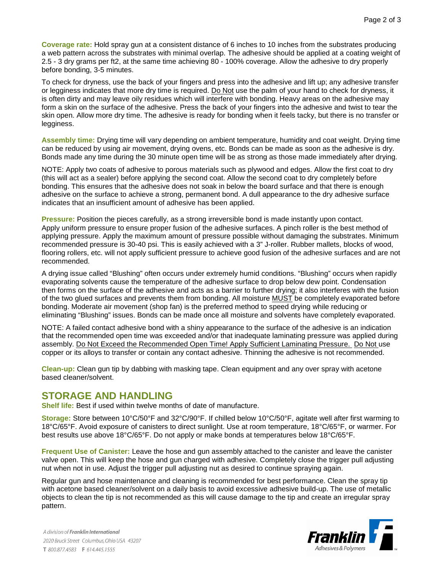**Coverage rate:** Hold spray gun at a consistent distance of 6 inches to 10 inches from the substrates producing a web pattern across the substrates with minimal overlap. The adhesive should be applied at a coating weight of 2.5 - 3 dry grams per ft2, at the same time achieving 80 - 100% coverage. Allow the adhesive to dry properly before bonding, 3-5 minutes.

To check for dryness, use the back of your fingers and press into the adhesive and lift up; any adhesive transfer or legginess indicates that more dry time is required. Do Not use the palm of your hand to check for dryness, it is often dirty and may leave oily residues which will interfere with bonding. Heavy areas on the adhesive may form a skin on the surface of the adhesive. Press the back of your fingers into the adhesive and twist to tear the skin open. Allow more dry time. The adhesive is ready for bonding when it feels tacky, but there is no transfer or legginess.

**Assembly time:** Drying time will vary depending on ambient temperature, humidity and coat weight. Drying time can be reduced by using air movement, drying ovens, etc. Bonds can be made as soon as the adhesive is dry. Bonds made any time during the 30 minute open time will be as strong as those made immediately after drying.

NOTE: Apply two coats of adhesive to porous materials such as plywood and edges. Allow the first coat to dry (this will act as a sealer) before applying the second coat. Allow the second coat to dry completely before bonding. This ensures that the adhesive does not soak in below the board surface and that there is enough adhesive on the surface to achieve a strong, permanent bond. A dull appearance to the dry adhesive surface indicates that an insufficient amount of adhesive has been applied.

**Pressure:** Position the pieces carefully, as a strong irreversible bond is made instantly upon contact. Apply uniform pressure to ensure proper fusion of the adhesive surfaces. A pinch roller is the best method of applying pressure. Apply the maximum amount of pressure possible without damaging the substrates. Minimum recommended pressure is 30-40 psi. This is easily achieved with a 3" J-roller. Rubber mallets, blocks of wood, flooring rollers, etc. will not apply sufficient pressure to achieve good fusion of the adhesive surfaces and are not recommended.

A drying issue called "Blushing" often occurs under extremely humid conditions. "Blushing" occurs when rapidly evaporating solvents cause the temperature of the adhesive surface to drop below dew point. Condensation then forms on the surface of the adhesive and acts as a barrier to further drying; it also interferes with the fusion of the two glued surfaces and prevents them from bonding. All moisture MUST be completely evaporated before bonding. Moderate air movement (shop fan) is the preferred method to speed drying while reducing or eliminating "Blushing" issues. Bonds can be made once all moisture and solvents have completely evaporated.

NOTE: A failed contact adhesive bond with a shiny appearance to the surface of the adhesive is an indication that the recommended open time was exceeded and/or that inadequate laminating pressure was applied during assembly. Do Not Exceed the Recommended Open Time! Apply Sufficient Laminating Pressure. Do Not use copper or its alloys to transfer or contain any contact adhesive. Thinning the adhesive is not recommended.

**Clean-up:** Clean gun tip by dabbing with masking tape. Clean equipment and any over spray with acetone based cleaner/solvent.

#### **STORAGE AND HANDLING**

**Shelf life:** Best if used within twelve months of date of manufacture.

**Storage:** Store between 10°C/50°F and 32°C/90°F. If chilled below 10°C/50°F, agitate well after first warming to 18°C/65°F. Avoid exposure of canisters to direct sunlight. Use at room temperature, 18°C/65°F, or warmer. For best results use above 18°C/65°F. Do not apply or make bonds at temperatures below 18°C/65°F.

**Frequent Use of Canister:** Leave the hose and gun assembly attached to the canister and leave the canister valve open. This will keep the hose and gun charged with adhesive. Completely close the trigger pull adjusting nut when not in use. Adjust the trigger pull adjusting nut as desired to continue spraying again.

Regular gun and hose maintenance and cleaning is recommended for best performance. Clean the spray tip with acetone based cleaner/solvent on a daily basis to avoid excessive adhesive build-up. The use of metallic objects to clean the tip is not recommended as this will cause damage to the tip and create an irregular spray pattern.

A division of Franklin International 2020 Bruck Street Columbus, Ohio USA 43207 T 800.877.4583 F 614.445.1555